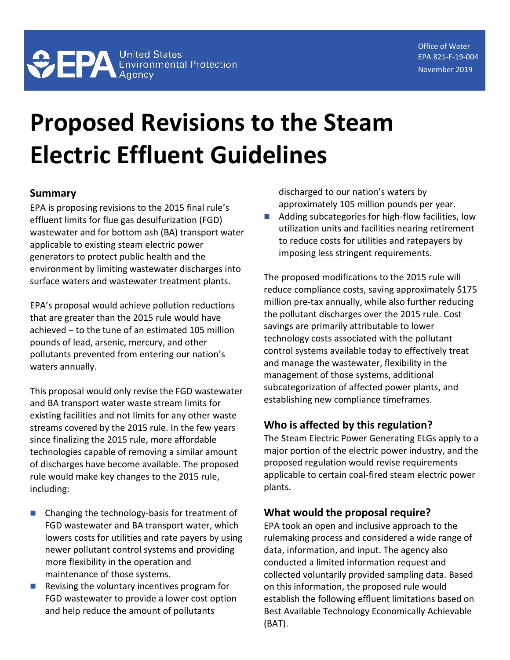# **Proposed Revisions to the Steam Electric Effluent Guidelines**

### **Summary**

EPA is proposing revisions to the 2015 final rule's effluent limits for flue gas desulfurization (FGD) wastewater and for bottom ash (BA) transport water applicable to existing steam electric power generators to protect public health and the environment by limiting wastewater discharges into surface waters and wastewater treatment plants.

EPA's proposal would achieve pollution reductions that are greater than the 2015 rule would have achieved – to the tune of an estimated 105 million pounds of lead, arsenic, mercury, and other pollutants prevented from entering our nation's waters annually.

This proposal would only revise the FGD wastewater and BA transport water waste stream limits for existing facilities and not limits for any other waste streams covered by the 2015 rule. In the few years since finalizing the 2015 rule, more affordable technologies capable of removing a similar amount of discharges have become available. The proposed rule would make key changes to the 2015 rule, including:

- Changing the technology-basis for treatment of FGD wastewater and BA transport water, which lowers costs for utilities and rate payers by using newer pollutant control systems and providing more flexibility in the operation and maintenance of those systems.
- Revising the voluntary incentives program for FGD wastewater to provide a lower cost option and help reduce the amount of pollutants

discharged to our nation's waters by approximately 105 million pounds per year.

■ Adding subcategories for high-flow facilities, low utilization units and facilities nearing retirement to reduce costs for utilities and ratepayers by imposing less stringent requirements.

The proposed modifications to the 2015 rule will reduce compliance costs, saving approximately \$175 million pre-tax annually, while also further reducing the pollutant discharges over the 2015 rule. Cost savings are primarily attributable to lower technology costs associated with the pollutant control systems available today to effectively treat and manage the wastewater, flexibility in the management of those systems, additional subcategorization of affected power plants, and establishing new compliance timeframes.

#### **Who is affected by this regulation?**

The Steam Electric Power Generating ELGs apply to a major portion of the electric power industry, and the proposed regulation would revise requirements applicable to certain coal-fired steam electric power plants.

## **What would the proposal require?**

EPA took an open and inclusive approach to the rulemaking process and considered a wide range of data, information, and input. The agency also conducted a limited information request and collected voluntarily provided sampling data. Based on this information, the proposed rule would establish the following effluent limitations based on Best Available Technology Economically Achievable (BAT).